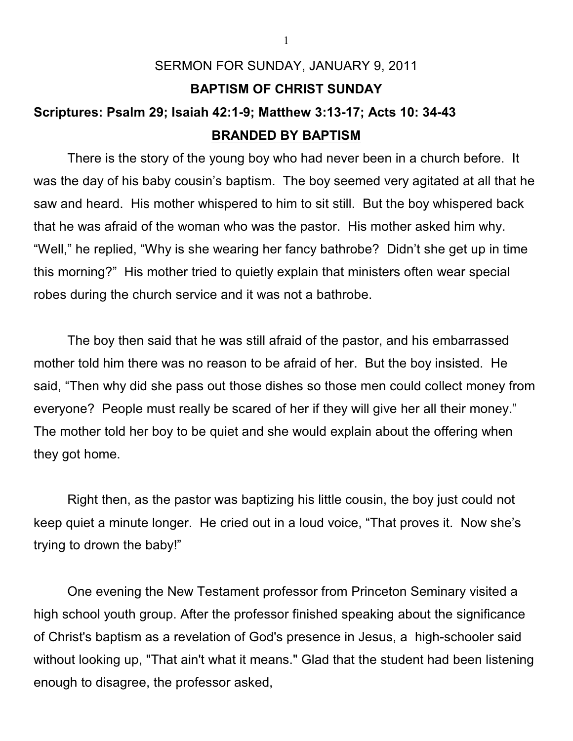## SERMON FOR SUNDAY, JANUARY 9, 2011 **BAPTISM OF CHRIST SUNDAY Scriptures: Psalm 29; Isaiah 42:1-9; Matthew 3:13-17; Acts 10: 34-43**

## **BRANDED BY BAPTISM**

There is the story of the young boy who had never been in a church before. It was the day of his baby cousin's baptism. The boy seemed very agitated at all that he saw and heard. His mother whispered to him to sit still. But the boy whispered back that he was afraid of the woman who was the pastor. His mother asked him why. "Well," he replied, "Why is she wearing her fancy bathrobe? Didn't she get up in time this morning?" His mother tried to quietly explain that ministers often wear special robes during the church service and it was not a bathrobe.

The boy then said that he was still afraid of the pastor, and his embarrassed mother told him there was no reason to be afraid of her. But the boy insisted. He said, "Then why did she pass out those dishes so those men could collect money from everyone? People must really be scared of her if they will give her all their money." The mother told her boy to be quiet and she would explain about the offering when they got home.

Right then, as the pastor was baptizing his little cousin, the boy just could not keep quiet a minute longer. He cried out in a loud voice, "That proves it. Now she's trying to drown the baby!"

One evening the New Testament professor from Princeton Seminary visited a high school youth group. After the professor finished speaking about the significance of Christ's baptism as a revelation of God's presence in Jesus, a high-schooler said without looking up, "That ain't what it means." Glad that the student had been listening enough to disagree, the professor asked,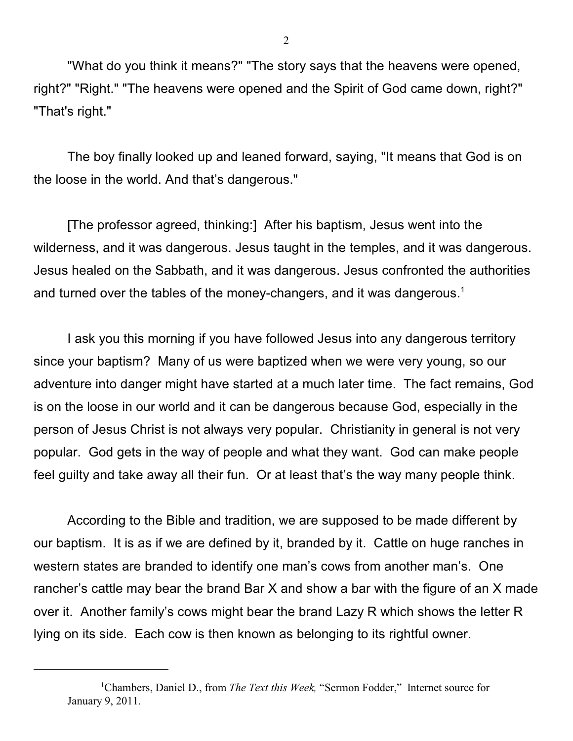"What do you think it means?" "The story says that the heavens were opened, right?" "Right." "The heavens were opened and the Spirit of God came down, right?" "That's right."

The boy finally looked up and leaned forward, saying, "It means that God is on the loose in the world. And that's dangerous."

[The professor agreed, thinking:] After his baptism, Jesus went into the wilderness, and it was dangerous. Jesus taught in the temples, and it was dangerous. Jesus healed on the Sabbath, and it was dangerous. Jesus confronted the authorities and turned over the tables of the money-changers, and it was dangerous.<sup>1</sup>

I ask you this morning if you have followed Jesus into any dangerous territory since your baptism? Many of us were baptized when we were very young, so our adventure into danger might have started at a much later time. The fact remains, God is on the loose in our world and it can be dangerous because God, especially in the person of Jesus Christ is not always very popular. Christianity in general is not very popular. God gets in the way of people and what they want. God can make people feel guilty and take away all their fun. Or at least that's the way many people think.

According to the Bible and tradition, we are supposed to be made different by our baptism. It is as if we are defined by it, branded by it. Cattle on huge ranches in western states are branded to identify one man's cows from another man's. One rancher's cattle may bear the brand Bar X and show a bar with the figure of an X made over it. Another family's cows might bear the brand Lazy R which shows the letter R lying on its side. Each cow is then known as belonging to its rightful owner.

<sup>&</sup>lt;sup>1</sup>Chambers, Daniel D., from *The Text this Week*, "Sermon Fodder," Internet source for January 9, 2011.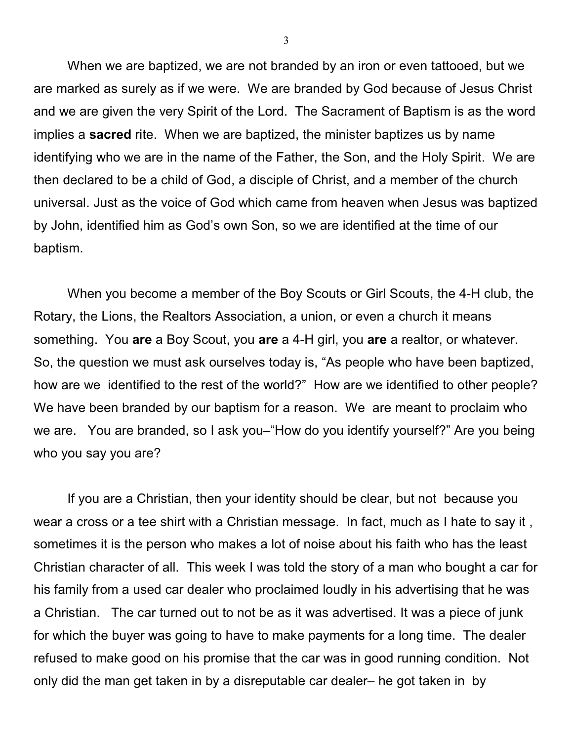When we are baptized, we are not branded by an iron or even tattooed, but we are marked as surely as if we were. We are branded by God because of Jesus Christ and we are given the very Spirit of the Lord. The Sacrament of Baptism is as the word implies a **sacred** rite. When we are baptized, the minister baptizes us by name identifying who we are in the name of the Father, the Son, and the Holy Spirit. We are then declared to be a child of God, a disciple of Christ, and a member of the church universal. Just as the voice of God which came from heaven when Jesus was baptized by John, identified him as God's own Son, so we are identified at the time of our baptism.

When you become a member of the Boy Scouts or Girl Scouts, the 4-H club, the Rotary, the Lions, the Realtors Association, a union, or even a church it means something. You **are** a Boy Scout, you **are** a 4-H girl, you **are** a realtor, or whatever. So, the question we must ask ourselves today is, "As people who have been baptized, how are we identified to the rest of the world?" How are we identified to other people? We have been branded by our baptism for a reason. We are meant to proclaim who we are. You are branded, so I ask you–"How do you identify yourself?" Are you being who you say you are?

If you are a Christian, then your identity should be clear, but not because you wear a cross or a tee shirt with a Christian message. In fact, much as I hate to say it , sometimes it is the person who makes a lot of noise about his faith who has the least Christian character of all. This week I was told the story of a man who bought a car for his family from a used car dealer who proclaimed loudly in his advertising that he was a Christian. The car turned out to not be as it was advertised. It was a piece of junk for which the buyer was going to have to make payments for a long time. The dealer refused to make good on his promise that the car was in good running condition. Not only did the man get taken in by a disreputable car dealer– he got taken in by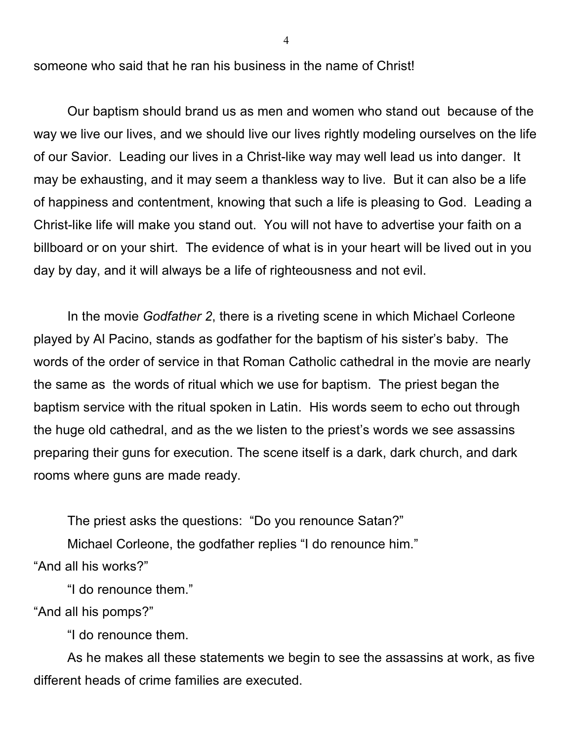someone who said that he ran his business in the name of Christ!

Our baptism should brand us as men and women who stand out because of the way we live our lives, and we should live our lives rightly modeling ourselves on the life of our Savior. Leading our lives in a Christ-like way may well lead us into danger. It may be exhausting, and it may seem a thankless way to live. But it can also be a life of happiness and contentment, knowing that such a life is pleasing to God. Leading a Christ-like life will make you stand out. You will not have to advertise your faith on a billboard or on your shirt. The evidence of what is in your heart will be lived out in you day by day, and it will always be a life of righteousness and not evil.

In the movie *Godfather 2*, there is a riveting scene in which Michael Corleone played by Al Pacino, stands as godfather for the baptism of his sister's baby. The words of the order of service in that Roman Catholic cathedral in the movie are nearly the same as the words of ritual which we use for baptism. The priest began the baptism service with the ritual spoken in Latin. His words seem to echo out through the huge old cathedral, and as the we listen to the priest's words we see assassins preparing their guns for execution. The scene itself is a dark, dark church, and dark rooms where guns are made ready.

The priest asks the questions: "Do you renounce Satan?" Michael Corleone, the godfather replies "I do renounce him." "And all his works?"

"I do renounce them."

"And all his pomps?"

"I do renounce them.

As he makes all these statements we begin to see the assassins at work, as five different heads of crime families are executed.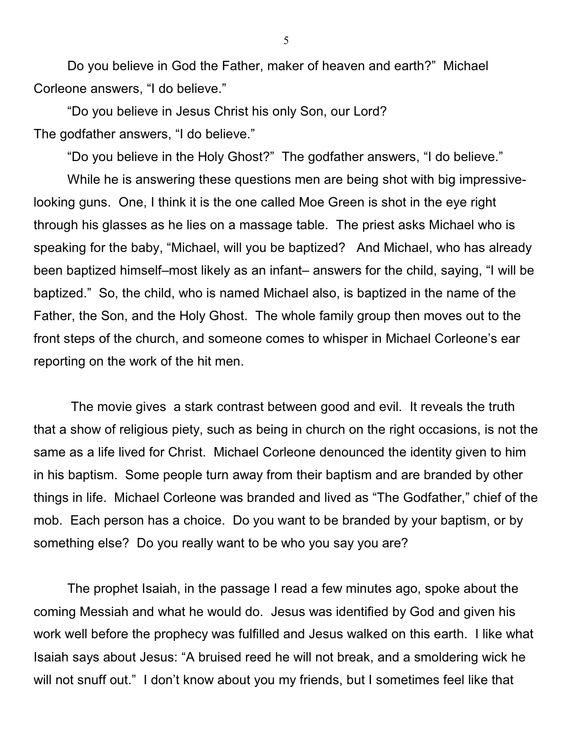Do you believe in God the Father, maker of heaven and earth?" Michael Corleone answers, "I do believe."

"Do you believe in Jesus Christ his only Son, our Lord? The godfather answers, "I do believe."

"Do you believe in the Holy Ghost?" The godfather answers, "I do believe."

While he is answering these questions men are being shot with big impressivelooking guns. One, I think it is the one called Moe Green is shot in the eye right through his glasses as he lies on a massage table. The priest asks Michael who is speaking for the baby, "Michael, will you be baptized? And Michael, who has already been baptized himself–most likely as an infant– answers for the child, saying, "I will be baptized." So, the child, who is named Michael also, is baptized in the name of the Father, the Son, and the Holy Ghost. The whole family group then moves out to the front steps of the church, and someone comes to whisper in Michael Corleone's ear reporting on the work of the hit men.

 The movie gives a stark contrast between good and evil. It reveals the truth that a show of religious piety, such as being in church on the right occasions, is not the same as a life lived for Christ. Michael Corleone denounced the identity given to him in his baptism. Some people turn away from their baptism and are branded by other things in life. Michael Corleone was branded and lived as "The Godfather," chief of the mob. Each person has a choice. Do you want to be branded by your baptism, or by something else? Do you really want to be who you say you are?

The prophet Isaiah, in the passage I read a few minutes ago, spoke about the coming Messiah and what he would do. Jesus was identified by God and given his work well before the prophecy was fulfilled and Jesus walked on this earth. I like what Isaiah says about Jesus: "A bruised reed he will not break, and a smoldering wick he will not snuff out." I don't know about you my friends, but I sometimes feel like that